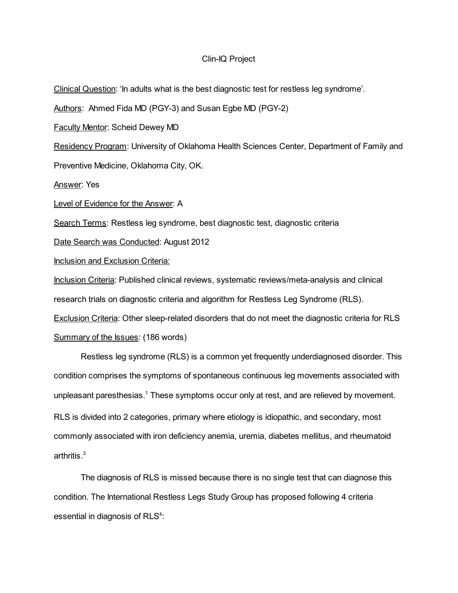## Clin-IQ Project

Clinical Question: 'In adults what is the best diagnostic test for restless leg syndrome'. Authors: Ahmed Fida MD (PGY-3) and Susan Egbe MD (PGY-2) Faculty Mentor: Scheid Dewey MD Residency Program: University of Oklahoma Health Sciences Center, Department of Family and Preventive Medicine, Oklahoma City, OK. Answer: Yes Level of Evidence for the Answer: A Search Terms: Restless leg syndrome, best diagnostic test, diagnostic criteria Date Search was Conducted: August 2012 Inclusion and Exclusion Criteria: Inclusion Criteria: Published clinical reviews, systematic reviews/meta-analysis and clinical research trials on diagnostic criteria and algorithm for Restless Leg Syndrome (RLS). Exclusion Criteria: Other sleep-related disorders that do not meet the diagnostic criteria for RLS Summary of the Issues: (186 words) Restless leg syndrome (RLS) is a common yet frequently underdiagnosed disorder. This

condition comprises the symptoms of spontaneous continuous leg movements associated with unpleasant paresthesias. <sup>1</sup> These symptoms occur only at rest, and are relieved by movement. RLS is divided into 2 categories, primary where etiology is idiopathic, and secondary, most commonly associated with iron deficiency anemia, uremia, diabetes mellitus, and rheumatoid arthritis. 3

The diagnosis of RLS is missed because there is no single test that can diagnose this condition. The International Restless Legs Study Group has proposed following 4 criteria essential in diagnosis of RLS<sup>4</sup>: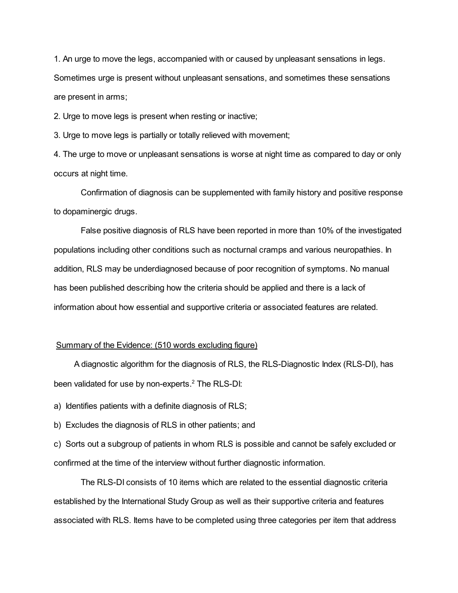1. An urge to move the legs, accompanied with or caused by unpleasant sensations in legs. Sometimes urge is present without unpleasant sensations, and sometimes these sensations are present in arms;

2. Urge to move legs is present when resting or inactive;

3. Urge to move legs is partially or totally relieved with movement;

4. The urge to move or unpleasant sensations is worse at night time as compared to day or only occurs at night time.

Confirmation of diagnosis can be supplemented with family history and positive response to dopaminergic drugs.

False positive diagnosis of RLS have been reported in more than 10% of the investigated populations including other conditions such as nocturnal cramps and various neuropathies. In addition, RLS may be underdiagnosed because of poor recognition of symptoms. No manual has been published describing how the criteria should be applied and there is a lack of information about how essential and supportive criteria or associated features are related.

## Summary of the Evidence: (510 words excluding figure)

A diagnostic algorithm for the diagnosis of RLS, the RLS-Diagnostic Index (RLS-DI), has been validated for use by non-experts. <sup>2</sup> The RLS-DI:

a) Identifies patients with a definite diagnosis of RLS;

b) Excludes the diagnosis of RLS in other patients; and

c) Sorts out a subgroup of patients in whom RLS is possible and cannot be safely excluded or confirmed at the time of the interview without further diagnostic information.

The RLS-DI consists of 10 items which are related to the essential diagnostic criteria established by the International Study Group as well as their supportive criteria and features associated with RLS. Items have to be completed using three categories per item that address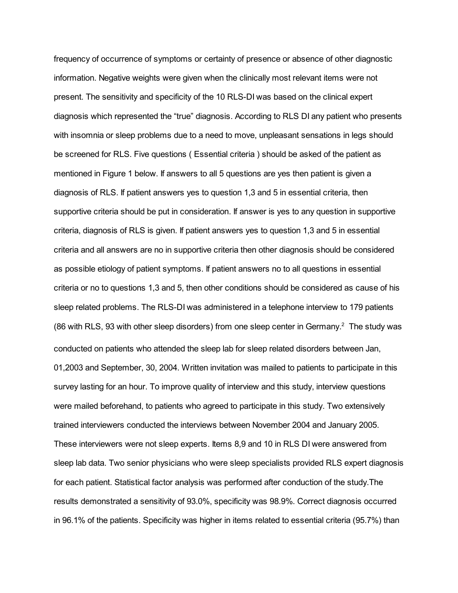frequency of occurrence of symptoms or certainty of presence or absence of other diagnostic information. Negative weights were given when the clinically most relevant items were not present. The sensitivity and specificity of the 10 RLS-DI was based on the clinical expert diagnosis which represented the "true" diagnosis. According to RLS DI any patient who presents with insomnia or sleep problems due to a need to move, unpleasant sensations in legs should be screened for RLS. Five questions ( Essential criteria ) should be asked of the patient as mentioned in Figure 1 below. If answers to all 5 questions are yes then patient is given a diagnosis of RLS. If patient answers yes to question 1,3 and 5 in essential criteria, then supportive criteria should be put in consideration. If answer is yes to any question in supportive criteria, diagnosis of RLS is given. If patient answers yes to question 1,3 and 5 in essential criteria and all answers are no in supportive criteria then other diagnosis should be considered as possible etiology of patient symptoms. If patient answers no to all questions in essential criteria or no to questions 1,3 and 5, then other conditions should be considered as cause of his sleep related problems. The RLS-DI was administered in a telephone interview to 179 patients (86 with RLS, 93 with other sleep disorders) from one sleep center in Germany.<sup>2</sup> The study was conducted on patients who attended the sleep lab for sleep related disorders between Jan, 01,2003 and September, 30, 2004. Written invitation was mailed to patients to participate in this survey lasting for an hour. To improve quality of interview and this study, interview questions were mailed beforehand, to patients who agreed to participate in this study. Two extensively trained interviewers conducted the interviews between November 2004 and January 2005. These interviewers were not sleep experts. Items 8,9 and 10 in RLS DI were answered from sleep lab data. Two senior physicians who were sleep specialists provided RLS expert diagnosis for each patient. Statistical factor analysis was performed after conduction of the study.The results demonstrated a sensitivity of 93.0%, specificity was 98.9%. Correct diagnosis occurred in 96.1% of the patients. Specificity was higher in items related to essential criteria (95.7%) than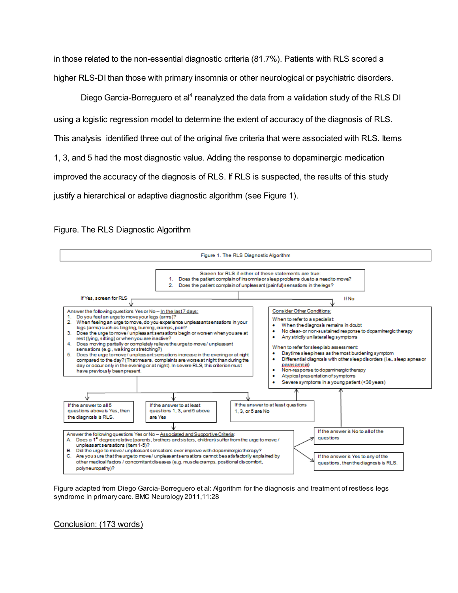in those related to the non-essential diagnostic criteria (81.7%). Patients with RLS scored a higher RLS-DI than those with primary insomnia or other neurological or psychiatric disorders.

Diego Garcia-Borreguero et al<sup>4</sup> reanalyzed the data from a validation study of the RLS DI using a logistic regression model to determine the extent of accuracy of the diagnosis of RLS. This analysis identified three out of the original five criteria that were associated with RLS. Items 1, 3, and 5 had the most diagnostic value. Adding the response to dopaminergic medication improved the accuracy of the diagnosis of RLS. If RLS is suspected, the results of this study justify a hierarchical or adaptive diagnostic algorithm (see Figure 1).

Figure. The RLS Diagnostic Algorithm



Figure adapted from Diego Garcia-Borreguero et al: Algorithm for the diagnosis and treatment of restless legs syndrome in primary care. BMC Neurology 2011,11:28

Conclusion: (173 words)